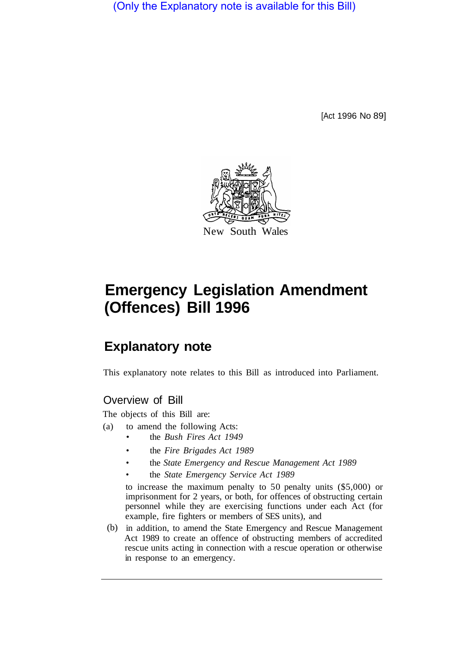(Only the Explanatory note is available for this Bill)

[Act 1996 No 89]



# **Emergency Legislation Amendment (Offences) Bill 1996**

# **Explanatory note**

This explanatory note relates to this Bill as introduced into Parliament.

### Overview of Bill

The objects of this Bill are:

- (a) to amend the following Acts:
	- the *Bush Fires Act 1949*
	- the *Fire Brigades Act 1989*
	- the *State Emergency and Rescue Management Act 1989*
	- the *State Emergency Service Act 1989*

to increase the maximum penalty to 50 penalty units (\$5,000) or imprisonment for 2 years, or both, for offences of obstructing certain personnel while they are exercising functions under each Act (for example, fire fighters or members of SES units), and

(b) in addition, to amend the State Emergency and Rescue Management Act 1989 to create an offence of obstructing members of accredited rescue units acting in connection with a rescue operation or otherwise in response to an emergency.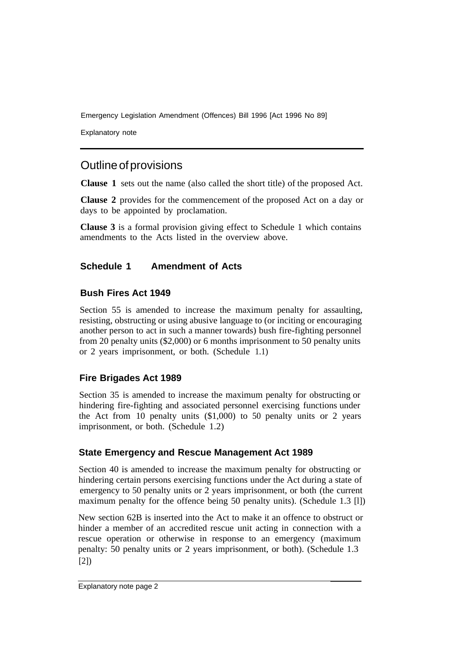Emergency Legislation Amendment (Offences) Bill 1996 [Act 1996 No 89]

Explanatory note

## Outline of provisions

**Clause 1** sets out the name (also called the short title) of the proposed Act.

**Clause 2** provides for the commencement of the proposed Act on a day or days to be appointed by proclamation.

**Clause 3** is a formal provision giving effect to Schedule 1 which contains amendments to the Acts listed in the overview above.

#### **Schedule 1 Amendment of Acts**

#### **Bush Fires Act 1949**

Section 55 is amended to increase the maximum penalty for assaulting, resisting, obstructing or using abusive language to (or inciting or encouraging another person to act in such a manner towards) bush fire-fighting personnel from 20 penalty units (\$2,000) or 6 months imprisonment to 50 penalty units or 2 years imprisonment, or both. (Schedule 1.1)

#### **Fire Brigades Act 1989**

Section 35 is amended to increase the maximum penalty for obstructing or hindering fire-fighting and associated personnel exercising functions under the Act from 10 penalty units (\$1,000) to 50 penalty units or 2 years imprisonment, or both. (Schedule 1.2)

#### **State Emergency and Rescue Management Act 1989**

Section 40 is amended to increase the maximum penalty for obstructing or hindering certain persons exercising functions under the Act during a state of emergency to 50 penalty units or 2 years imprisonment, or both (the current maximum penalty for the offence being 50 penalty units). (Schedule 1.3 [1])

New section 62B is inserted into the Act to make it an offence to obstruct or hinder a member of an accredited rescue unit acting in connection with a rescue operation or otherwise in response to an emergency (maximum penalty: 50 penalty units or 2 years imprisonment, or both). (Schedule 1.3 [2])